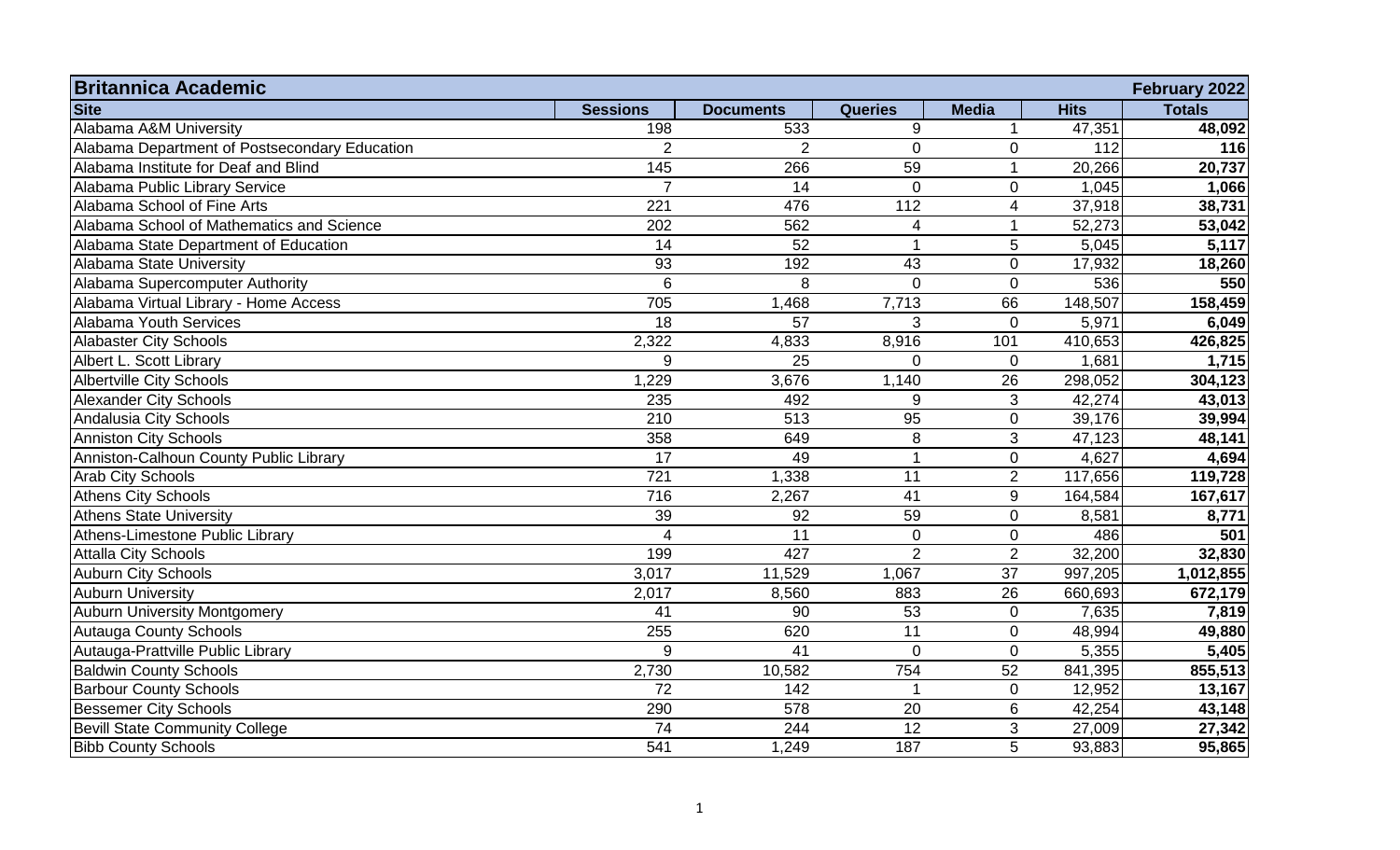| <b>Britannica Academic</b>                    |                 |                  |                 |                 |             | February 2022 |
|-----------------------------------------------|-----------------|------------------|-----------------|-----------------|-------------|---------------|
| <b>Site</b>                                   | <b>Sessions</b> | <b>Documents</b> | <b>Queries</b>  | <b>Media</b>    | <b>Hits</b> | <b>Totals</b> |
| Alabama A&M University                        | 198             | 533              | $9\,$           |                 | 47,351      | 48,092        |
| Alabama Department of Postsecondary Education | $\overline{2}$  | $\overline{2}$   | $\overline{0}$  | $\overline{0}$  | 112         | 116           |
| Alabama Institute for Deaf and Blind          | 145             | 266              | 59              | 1               | 20,266      | 20,737        |
| Alabama Public Library Service                | $\overline{7}$  | 14               | $\mathbf 0$     | 0               | 1,045       | 1,066         |
| Alabama School of Fine Arts                   | 221             | 476              | 112             | 4               | 37,918      | 38,731        |
| Alabama School of Mathematics and Science     | 202             | 562              | 4               | 1               | 52,273      | 53,042        |
| Alabama State Department of Education         | 14              | 52               |                 | 5               | 5,045       | 5,117         |
| Alabama State University                      | 93              | 192              | 43              | $\mathbf 0$     | 17,932      | 18,260        |
| Alabama Supercomputer Authority               | $6\phantom{1}6$ | 8                | $\overline{0}$  | $\overline{0}$  | 536         | 550           |
| Alabama Virtual Library - Home Access         | 705             | 1,468            | 7,713           | 66              | 148,507     | 158,459       |
| Alabama Youth Services                        | 18              | 57               | 3               | $\overline{0}$  | 5,971       | 6,049         |
| <b>Alabaster City Schools</b>                 | 2,322           | 4,833            | 8,916           | 101             | 410,653     | 426,825       |
| Albert L. Scott Library                       | 9               | 25               | $\Omega$        | $\Omega$        | 1,681       | 1,715         |
| <b>Albertville City Schools</b>               | 1,229           | 3,676            | 1,140           | 26              | 298,052     | 304,123       |
| <b>Alexander City Schools</b>                 | 235             | 492              | 9               | 3               | 42,274      | 43,013        |
| Andalusia City Schools                        | 210             | 513              | 95              | $\overline{0}$  | 39,176      | 39,994        |
| <b>Anniston City Schools</b>                  | 358             | 649              | $\,8\,$         | 3               | 47,123      | 48,141        |
| Anniston-Calhoun County Public Library        | 17              | 49               |                 | $\mathbf 0$     | 4,627       | 4,694         |
| <b>Arab City Schools</b>                      | 721             | 1,338            | 11              | $\overline{2}$  | 117,656     | 119,728       |
| <b>Athens City Schools</b>                    | 716             | 2,267            | 41              | 9               | 164,584     | 167,617       |
| <b>Athens State University</b>                | 39              | 92               | 59              | 0               | 8,581       | 8,771         |
| Athens-Limestone Public Library               | 4               | 11               | $\mathbf 0$     | 0               | 486         | 501           |
| <b>Attalla City Schools</b>                   | 199             | 427              | $\overline{2}$  | $\overline{2}$  | 32,200      | 32,830        |
| <b>Auburn City Schools</b>                    | 3,017           | 11,529           | 1,067           | $\overline{37}$ | 997,205     | 1,012,855     |
| <b>Auburn University</b>                      | 2,017           | 8,560            | 883             | 26              | 660,693     | 672,179       |
| <b>Auburn University Montgomery</b>           | 41              | 90               | $\overline{53}$ | $\mathbf 0$     | 7,635       | 7,819         |
| <b>Autauga County Schools</b>                 | 255             | 620              | 11              | $\mathbf 0$     | 48,994      | 49,880        |
| Autauga-Prattville Public Library             | 9               | $\overline{41}$  | $\Omega$        | $\overline{0}$  | 5,355       | 5,405         |
| <b>Baldwin County Schools</b>                 | 2,730           | 10,582           | 754             | 52              | 841,395     | 855,513       |
| <b>Barbour County Schools</b>                 | 72              | 142              |                 | 0               | 12,952      | 13,167        |
| <b>Bessemer City Schools</b>                  | 290             | 578              | 20              | 6               | 42,254      | 43,148        |
| <b>Bevill State Community College</b>         | $\overline{74}$ | 244              | $\overline{12}$ | 3               | 27,009      | 27,342        |
| <b>Bibb County Schools</b>                    | 541             | 1,249            | 187             | 5               | 93,883      | 95,865        |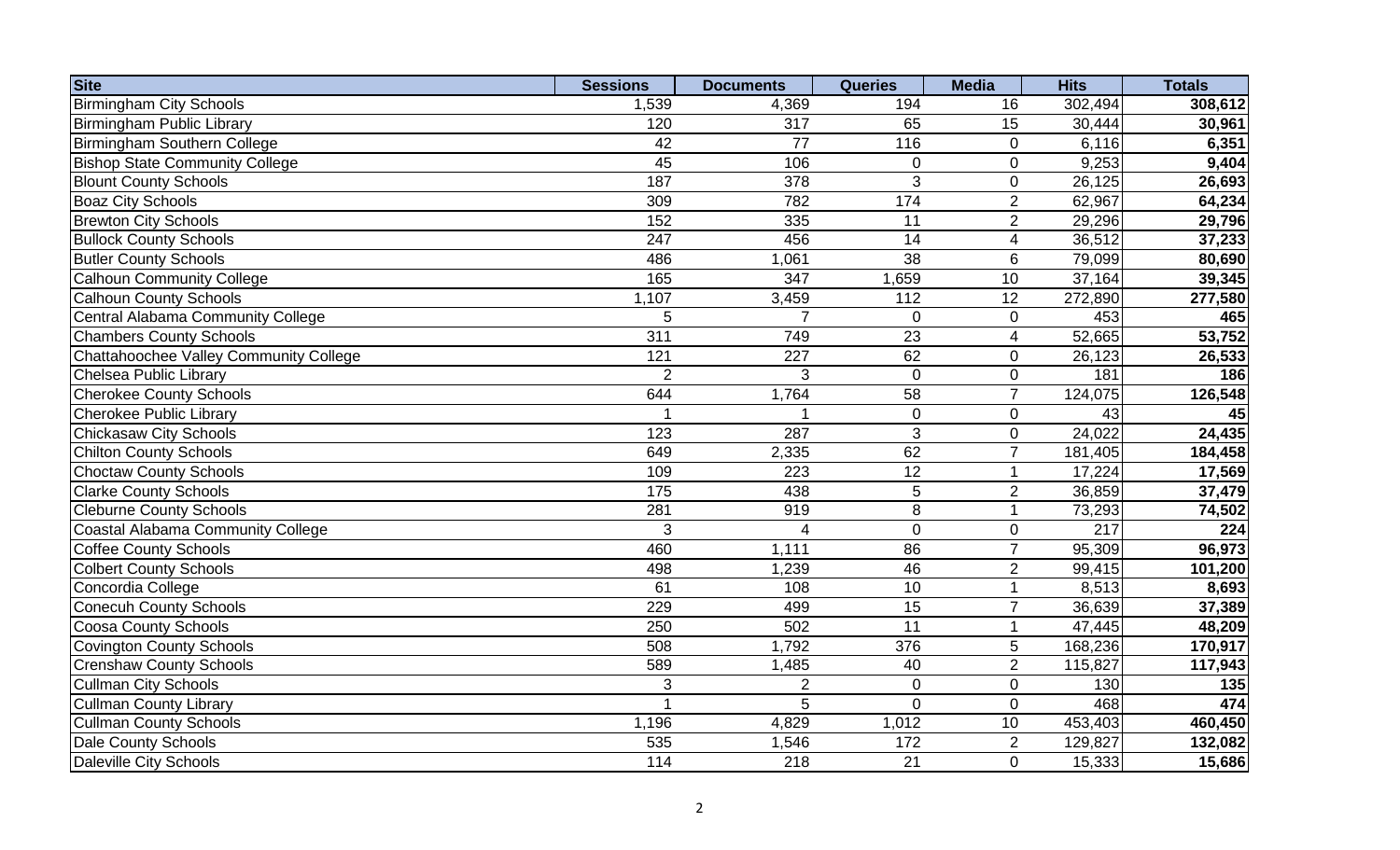| <b>Site</b>                            | <b>Sessions</b>  | <b>Documents</b> | <b>Queries</b>  | <b>Media</b>    | <b>Hits</b> | <b>Totals</b> |
|----------------------------------------|------------------|------------------|-----------------|-----------------|-------------|---------------|
| <b>Birmingham City Schools</b>         | 1,539            | 4,369            | 194             | 16              | 302,494     | 308,612       |
| <b>Birmingham Public Library</b>       | 120              | 317              | 65              | 15              | 30,444      | 30,961        |
| Birmingham Southern College            | 42               | 77               | 116             | $\overline{0}$  | 6,116       | 6,351         |
| <b>Bishop State Community College</b>  | 45               | 106              | 0               | $\mathbf 0$     | 9,253       | 9,404         |
| <b>Blount County Schools</b>           | 187              | 378              | 3               | $\mathbf 0$     | 26,125      | 26,693        |
| <b>Boaz City Schools</b>               | 309              | 782              | 174             | $\overline{2}$  | 62,967      | 64,234        |
| <b>Brewton City Schools</b>            | 152              | 335              | 11              | $\overline{2}$  | 29,296      | 29,796        |
| <b>Bullock County Schools</b>          | $\overline{247}$ | 456              | $\overline{14}$ | $\overline{4}$  | 36,512      | 37,233        |
| <b>Butler County Schools</b>           | 486              | 1,061            | $\overline{38}$ | $6\phantom{1}6$ | 79,099      | 80,690        |
| <b>Calhoun Community College</b>       | 165              | $\overline{347}$ | 1,659           | $\overline{10}$ | 37,164      | 39,345        |
| <b>Calhoun County Schools</b>          | 1,107            | 3,459            | 112             | 12              | 272,890     | 277,580       |
| Central Alabama Community College      | 5                | $\overline{7}$   | $\mathbf 0$     | $\mathbf 0$     | 453         | 465           |
| <b>Chambers County Schools</b>         | 311              | 749              | $\overline{23}$ | $\overline{4}$  | 52,665      | 53,752        |
| Chattahoochee Valley Community College | 121              | 227              | 62              | $\mathbf 0$     | 26,123      | 26,533        |
| <b>Chelsea Public Library</b>          | 2                | 3                | $\overline{0}$  | $\mathbf 0$     | 181         | 186           |
| <b>Cherokee County Schools</b>         | 644              | 1,764            | 58              | $\overline{7}$  | 124,075     | 126,548       |
| <b>Cherokee Public Library</b>         |                  |                  | $\mathbf 0$     | $\mathbf 0$     | 43          | 45            |
| <b>Chickasaw City Schools</b>          | 123              | 287              | 3               | $\mathbf 0$     | 24,022      | 24,435        |
| <b>Chilton County Schools</b>          | 649              | 2,335            | 62              | $\overline{7}$  | 181,405     | 184,458       |
| Choctaw County Schools                 | 109              | 223              | 12              |                 | 17,224      | 17,569        |
| <b>Clarke County Schools</b>           | 175              | 438              | 5               | $\overline{2}$  | 36,859      | 37,479        |
| <b>Cleburne County Schools</b>         | 281              | 919              | 8               |                 | 73,293      | 74,502        |
| Coastal Alabama Community College      | 3                | 4                | $\overline{0}$  | $\mathbf 0$     | 217         | 224           |
| <b>Coffee County Schools</b>           | 460              | 1,111            | 86              | $\overline{7}$  | 95,309      | 96,973        |
| <b>Colbert County Schools</b>          | 498              | 1,239            | 46              | $\overline{2}$  | 99,415      | 101,200       |
| Concordia College                      | 61               | 108              | 10              |                 | 8,513       | 8,693         |
| <b>Conecuh County Schools</b>          | 229              | 499              | 15              | $\overline{7}$  | 36,639      | 37,389        |
| <b>Coosa County Schools</b>            | 250              | 502              | 11              |                 | 47,445      | 48,209        |
| Covington County Schools               | 508              | 1,792            | 376             | 5               | 168,236     | 170,917       |
| <b>Crenshaw County Schools</b>         | 589              | 1,485            | 40              | $\overline{2}$  | 115,827     | 117,943       |
| <b>Cullman City Schools</b>            | 3                | $\overline{2}$   | $\mathbf 0$     | $\mathbf 0$     | 130         | 135           |
| Cullman County Library                 |                  | 5                | $\overline{0}$  | $\mathbf 0$     | 468         | 474           |
| <b>Cullman County Schools</b>          | 1,196            | 4,829            | 1,012           | 10              | 453,403     | 460,450       |
| Dale County Schools                    | 535              | 1,546            | 172             | $\overline{2}$  | 129,827     | 132,082       |
| Daleville City Schools                 | 114              | 218              | 21              | $\overline{0}$  | 15,333      | 15,686        |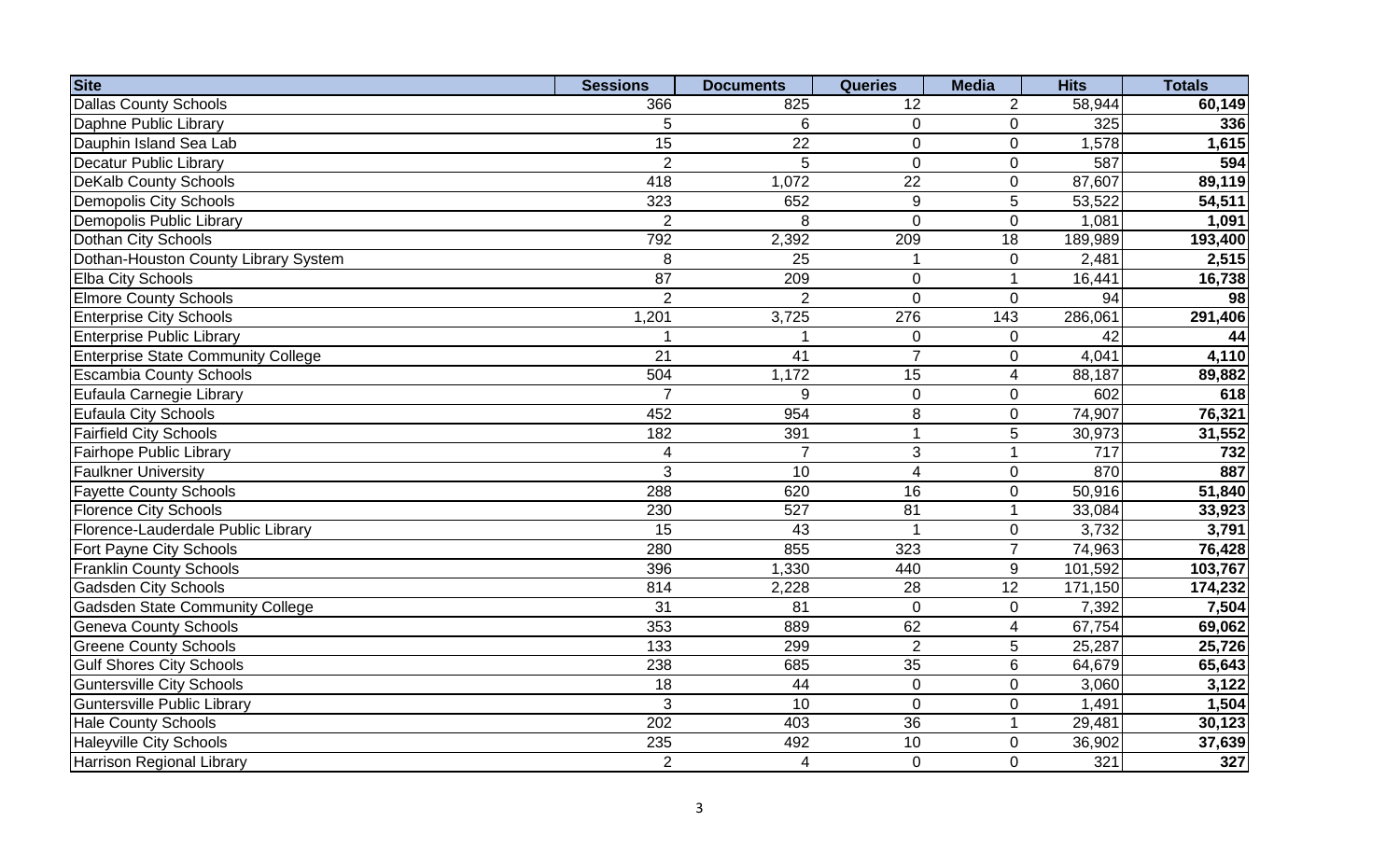| <b>Site</b>                               | <b>Sessions</b> | <b>Documents</b> | <b>Queries</b>  | <b>Media</b>             | <b>Hits</b> | <b>Totals</b> |
|-------------------------------------------|-----------------|------------------|-----------------|--------------------------|-------------|---------------|
| <b>Dallas County Schools</b>              | 366             | 825              | 12              | 2                        | 58,944      | 60,149        |
| Daphne Public Library                     | 5               | 6                | $\mathbf 0$     | $\mathbf 0$              | 325         | 336           |
| Dauphin Island Sea Lab                    | $\overline{15}$ | $\overline{22}$  | $\overline{0}$  | $\mathbf{0}$             | 1,578       | 1,615         |
| <b>Decatur Public Library</b>             | $\overline{2}$  | 5                | $\overline{0}$  | $\mathbf 0$              | 587         | 594           |
| <b>DeKalb County Schools</b>              | 418             | 1,072            | 22              | $\overline{0}$           | 87,607      | 89,119        |
| <b>Demopolis City Schools</b>             | 323             | 652              | 9               | 5                        | 53,522      | 54,511        |
| Demopolis Public Library                  | $\overline{2}$  | 8                | $\overline{0}$  | $\mathbf 0$              | 1,081       | 1,091         |
| Dothan City Schools                       | 792             | 2,392            | 209             | 18                       | 189,989     | 193,400       |
| Dothan-Houston County Library System      | 8               | 25               | 1               | $\mathbf 0$              | 2,481       | 2,515         |
| Elba City Schools                         | $\overline{87}$ | 209              | $\mathbf 0$     |                          | 16,441      | 16,738        |
| <b>Elmore County Schools</b>              | $\overline{2}$  | $\overline{2}$   | $\overline{0}$  | $\mathbf 0$              | 94          | 98            |
| <b>Enterprise City Schools</b>            | 1,201           | 3,725            | 276             | 143                      | 286,061     | 291,406       |
| <b>Enterprise Public Library</b>          |                 |                  | $\mathbf 0$     | $\mathbf 0$              | 42          | 44            |
| <b>Enterprise State Community College</b> | $\overline{21}$ | 41               | $\overline{7}$  | $\mathbf 0$              | 4,041       | 4,110         |
| <b>Escambia County Schools</b>            | 504             | 1,172            | $\overline{15}$ | $\overline{4}$           | 88,187      | 89,882        |
| Eufaula Carnegie Library                  | $\overline{7}$  | 9                | $\mathbf 0$     | $\mathbf 0$              | 602         | 618           |
| <b>Eufaula City Schools</b>               | 452             | 954              | 8               | $\mathbf 0$              | 74,907      | 76,321        |
| <b>Fairfield City Schools</b>             | 182             | 391              | $\overline{1}$  | 5                        | 30,973      | 31,552        |
| Fairhope Public Library                   | 4               | $\overline{7}$   | 3               | $\overline{1}$           | 717         | 732           |
| <b>Faulkner University</b>                | 3               | 10               | $\overline{4}$  | $\overline{0}$           | 870         | 887           |
| <b>Fayette County Schools</b>             | 288             | 620              | 16              | $\mathbf 0$              | 50,916      | 51,840        |
| <b>Florence City Schools</b>              | 230             | 527              | $\overline{81}$ | $\overline{1}$           | 33,084      | 33,923        |
| Florence-Lauderdale Public Library        | $\overline{15}$ | 43               | $\overline{1}$  | $\mathbf 0$              | 3,732       | 3,791         |
| Fort Payne City Schools                   | 280             | 855              | 323             | $\overline{7}$           | 74,963      | 76,428        |
| <b>Franklin County Schools</b>            | 396             | 1,330            | 440             | $9\,$                    | 101,592     | 103,767       |
| <b>Gadsden City Schools</b>               | 814             | 2,228            | 28              | $\overline{12}$          | 171,150     | 174,232       |
| <b>Gadsden State Community College</b>    | 31              | 81               | $\mathbf 0$     | $\mathbf 0$              | 7,392       | 7,504         |
| <b>Geneva County Schools</b>              | 353             | 889              | 62              | $\overline{\mathcal{A}}$ | 67,754      | 69,062        |
| <b>Greene County Schools</b>              | 133             | 299              | 2               | 5                        | 25,287      | 25,726        |
| <b>Gulf Shores City Schools</b>           | 238             | 685              | 35              | $6\phantom{1}$           | 64,679      | 65,643        |
| <b>Guntersville City Schools</b>          | 18              | 44               | $\overline{0}$  | $\Omega$                 | 3,060       | 3,122         |
| <b>Guntersville Public Library</b>        | 3               | 10               | $\Omega$        | $\mathbf 0$              | 1,491       | 1,504         |
| <b>Hale County Schools</b>                | 202             | 403              | 36              | 1                        | 29,481      | 30,123        |
| <b>Haleyville City Schools</b>            | 235             | 492              | 10              | $\mathbf 0$              | 36,902      | 37,639        |
| <b>Harrison Regional Library</b>          | $\overline{2}$  | $\overline{4}$   | $\overline{0}$  | $\mathbf 0$              | 321         | 327           |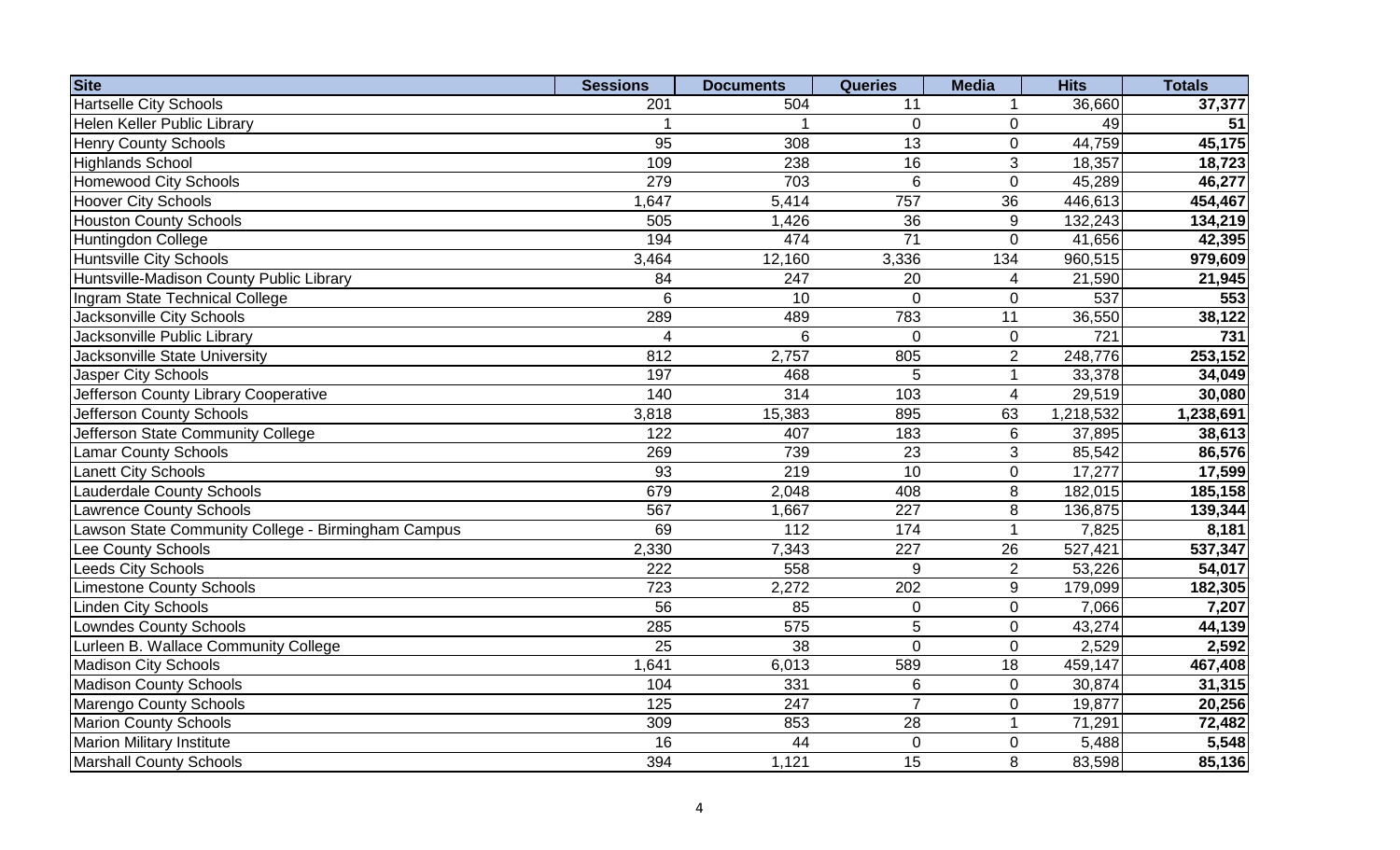| <b>Site</b>                                        | <b>Sessions</b>  | <b>Documents</b> | <b>Queries</b>   | <b>Media</b>     | <b>Hits</b>         | <b>Totals</b> |
|----------------------------------------------------|------------------|------------------|------------------|------------------|---------------------|---------------|
| <b>Hartselle City Schools</b>                      | 201              | 504              | 11               |                  | 36,660              | 37,377        |
| Helen Keller Public Library                        |                  |                  | $\mathbf 0$      | $\mathbf 0$      | 49                  | 51            |
| <b>Henry County Schools</b>                        | 95               | 308              | 13               | $\mathbf 0$      | 44,759              | 45,175        |
| <b>Highlands School</b>                            | 109              | 238              | 16               | 3                | 18,357              | 18,723        |
| <b>Homewood City Schools</b>                       | 279              | 703              | 6                | $\mathbf 0$      | 45,289              | 46,277        |
| <b>Hoover City Schools</b>                         | ,647             | 5,414            | 757              | $\overline{36}$  | 446,613             | 454,467       |
| <b>Houston County Schools</b>                      | 505              | 1,426            | 36               | 9                | 132,243             | 134,219       |
| Huntingdon College                                 | 194              | 474              | $\overline{71}$  | $\overline{0}$   | 41,656              | 42,395        |
| <b>Huntsville City Schools</b>                     | 3,464            | 12,160           | 3,336            | 134              | 960,515             | 979,609       |
| Huntsville-Madison County Public Library           | 84               | 247              | 20               | 4                | 21,590              | 21,945        |
| <b>Ingram State Technical College</b>              | 6                | 10               | $\overline{0}$   | $\mathbf 0$      | 537                 | 553           |
| Jacksonville City Schools                          | 289              | 489              | 783              | 11               | 36,550              | 38,122        |
| <b>Jacksonville Public Library</b>                 | 4                | 6                | $\overline{0}$   | $\mathbf 0$      | 721                 | 731           |
| Jacksonville State University                      | 812              | 2,757            | 805              | $\overline{2}$   | 248,776             | 253,152       |
| <b>Jasper City Schools</b>                         | 197              | 468              | 5                | $\overline{1}$   | 33,378              | 34,049        |
| Jefferson County Library Cooperative               | 140              | 314              | 103              | $\overline{4}$   | 29,519              | 30,080        |
| Jefferson County Schools                           | 3,818            | 15,383           | 895              | 63               | 1,218,532           | 1,238,691     |
| Jefferson State Community College                  | 122              | 407              | 183              | $6\phantom{1}$   | 37,895              | 38,613        |
| <b>Lamar County Schools</b>                        | 269              | 739              | 23               | $\mathfrak{S}$   | 85,542              | 86,576        |
| <b>Lanett City Schools</b>                         | 93               | 219              | 10               | $\mathbf 0$      | 17,277              | 17,599        |
| <b>Lauderdale County Schools</b>                   | 679              | 2,048            | 408              | 8                | 182,015             | 185,158       |
| <b>Lawrence County Schools</b>                     | 567              | 1,667            | $\overline{227}$ | 8                | 136,875             | 139,344       |
| Lawson State Community College - Birmingham Campus | 69               | $\overline{112}$ | 174              | 1                | 7,825               | 8,181         |
| Lee County Schools                                 | 2,330            | 7,343            | $\overline{227}$ | 26               | 527,421             | 537,347       |
| <b>Leeds City Schools</b>                          | $\overline{222}$ | 558              | 9                | $\overline{2}$   | 53,226              | 54,017        |
| <b>Limestone County Schools</b>                    | 723              | 2,272            | 202              | $\boldsymbol{9}$ | 179,099             | 182,305       |
| <b>Linden City Schools</b>                         | 56               | 85               | $\pmb{0}$        | $\pmb{0}$        | 7,066               | 7,207         |
| <b>Lowndes County Schools</b>                      | 285              | 575              | 5                | $\mathbf 0$      | 43,274              | 44,139        |
| Lurleen B. Wallace Community College               | 25               | 38               | $\mathbf 0$      | $\pmb{0}$        | 2,529               | 2,592         |
| <b>Madison City Schools</b>                        | 1,641            | 6,013            | 589              | 18               | 459,147             | 467,408       |
| <b>Madison County Schools</b>                      | 104              | 331              | 6                | $\mathbf{0}$     | 30,874              | 31,315        |
| Marengo County Schools                             | 125              | 247              | $\overline{7}$   | $\mathbf 0$      | 19,877              | 20,256        |
| <b>Marion County Schools</b>                       | 309              | 853              | 28               | 1                | $\overline{7}1,291$ | 72,482        |
| <b>Marion Military Institute</b>                   | 16               | 44               | $\overline{0}$   | $\mathbf{0}$     | 5,488               | 5,548         |
| <b>Marshall County Schools</b>                     | 394              | 1,121            | 15               | 8                | 83,598              | 85,136        |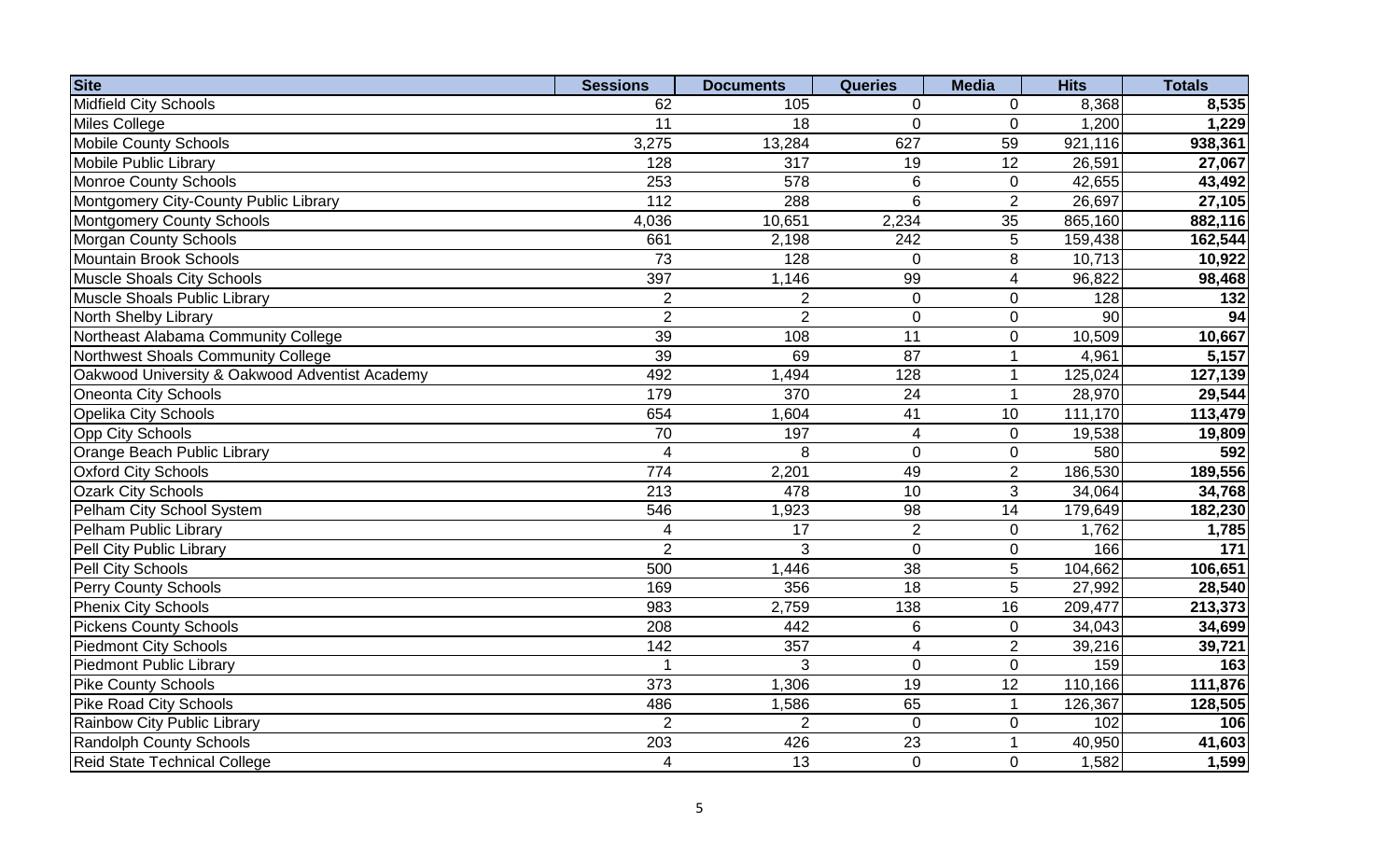| <b>Site</b>                                    | <b>Sessions</b> | <b>Documents</b> | <b>Queries</b>           | <b>Media</b>     | <b>Hits</b> | <b>Totals</b> |
|------------------------------------------------|-----------------|------------------|--------------------------|------------------|-------------|---------------|
| Midfield City Schools                          | 62              | 105              | 0                        | $\Omega$         | 8,368       | 8,535         |
| Miles College                                  | 11              | 18               | $\overline{0}$           | $\overline{0}$   | 1,200       | 1,229         |
| <b>Mobile County Schools</b>                   | 3,275           | 13,284           | 627                      | 59               | 921,116     | 938,361       |
| Mobile Public Library                          | 128             | 317              | 19                       | $\overline{12}$  | 26,591      | 27,067        |
| Monroe County Schools                          | 253             | 578              | 6                        | $\mathbf 0$      | 42,655      | 43,492        |
| Montgomery City-County Public Library          | 112             | 288              | 6                        | $\overline{2}$   | 26,697      | 27,105        |
| <b>Montgomery County Schools</b>               | 4,036           | 10,651           | 2,234                    | 35               | 865,160     | 882,116       |
| Morgan County Schools                          | 661             | 2,198            | $\overline{242}$         | 5                | 159,438     | 162,544       |
| Mountain Brook Schools                         | $\overline{73}$ | 128              | $\mathbf 0$              | 8                | 10,713      | 10,922        |
| Muscle Shoals City Schools                     | 397             | 1,146            | $\overline{99}$          | $\overline{4}$   | 96,822      | 98,468        |
| Muscle Shoals Public Library                   | $\overline{2}$  | $\overline{2}$   | $\mathbf 0$              | $\mathbf 0$      | 128         | 132           |
| North Shelby Library                           | $\overline{2}$  | $\overline{2}$   | $\boldsymbol{0}$         | $\mathbf 0$      | 90          | 94            |
| Northeast Alabama Community College            | 39              | 108              | 11                       | $\boldsymbol{0}$ | 10,509      | 10,667        |
| Northwest Shoals Community College             | 39              | 69               | $\overline{87}$          |                  | 4,961       | 5,157         |
| Oakwood University & Oakwood Adventist Academy | 492             | 1,494            | 128                      | -1               | 125,024     | 127,139       |
| Oneonta City Schools                           | 179             | 370              | 24                       | -1               | 28,970      | 29,544        |
| <b>Opelika City Schools</b>                    | 654             | 1,604            | 41                       | 10               | 111,170     | 113,479       |
| Opp City Schools                               | $\overline{70}$ | 197              | $\overline{4}$           | $\mathbf 0$      | 19,538      | 19,809        |
| Orange Beach Public Library                    | $\overline{4}$  | 8                | $\mathbf 0$              | $\mathbf 0$      | 580         | 592           |
| <b>Oxford City Schools</b>                     | 774             | 2,201            | 49                       | $\overline{2}$   | 186,530     | 189,556       |
| <b>Ozark City Schools</b>                      | 213             | 478              | 10                       | 3                | 34,064      | 34,768        |
| Pelham City School System                      | 546             | 1,923            | 98                       | 14               | 179,649     | 182,230       |
| Pelham Public Library                          | $\overline{4}$  | 17               | $\overline{2}$           | $\mathbf 0$      | 1,762       | 1,785         |
| Pell City Public Library                       | $\overline{2}$  | 3                | $\mathbf 0$              | $\mathbf 0$      | 166         | 171           |
| Pell City Schools                              | 500             | 1,446            | $\overline{38}$          | $\overline{5}$   | 104,662     | 106,651       |
| <b>Perry County Schools</b>                    | 169             | 356              | $\overline{18}$          | 5                | 27,992      | 28,540        |
| <b>Phenix City Schools</b>                     | 983             | 2,759            | 138                      | 16               | 209,477     | 213,373       |
| <b>Pickens County Schools</b>                  | 208             | 442              | $\,6$                    | $\mathbf 0$      | 34,043      | 34,699        |
| <b>Piedmont City Schools</b>                   | 142             | 357              | $\overline{\mathcal{A}}$ | 2                | 39,216      | 39,721        |
| <b>Piedmont Public Library</b>                 | -1              | 3                | $\mathbf 0$              | $\mathbf 0$      | 159         | 163           |
| <b>Pike County Schools</b>                     | 373             | 1,306            | 19                       | 12               | 110,166     | 111,876       |
| Pike Road City Schools                         | 486             | 1,586            | 65                       | $\overline{1}$   | 126,367     | 128,505       |
| Rainbow City Public Library                    | $\overline{2}$  | $\overline{2}$   | $\overline{0}$           | $\overline{0}$   | 102         | 106           |
| Randolph County Schools                        | 203             | 426              | 23                       |                  | 40,950      | 41,603        |
| Reid State Technical College                   | 4               | 13               | $\overline{0}$           | $\overline{0}$   | 1,582       | 1,599         |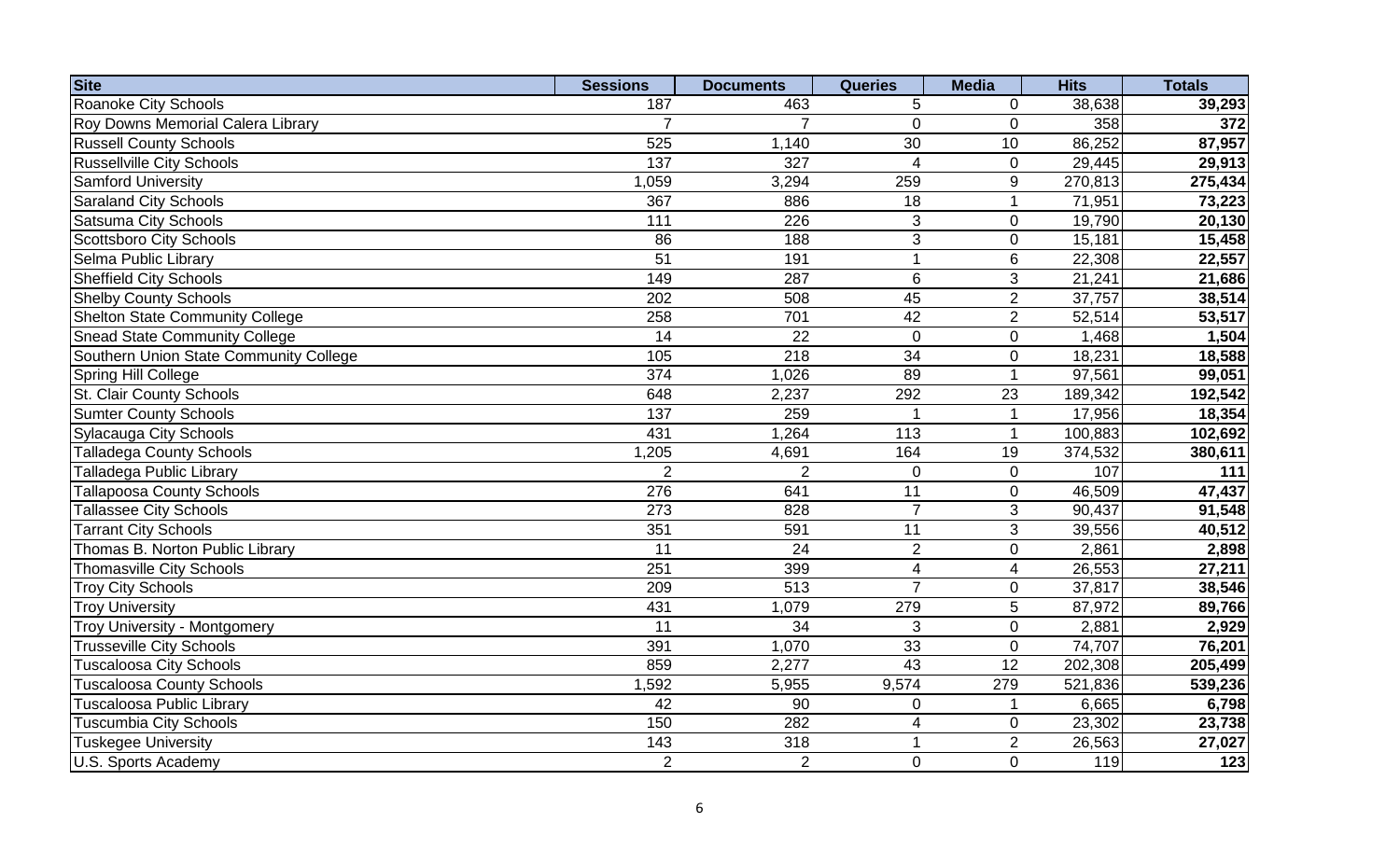| <b>Site</b>                              | <b>Sessions</b> | <b>Documents</b> | <b>Queries</b>   | <b>Media</b>    | <b>Hits</b> | <b>Totals</b> |
|------------------------------------------|-----------------|------------------|------------------|-----------------|-------------|---------------|
| Roanoke City Schools                     | 187             | 463              | 5                | 0               | 38,638      | 39,293        |
| <b>Roy Downs Memorial Calera Library</b> | $\overline{7}$  | $\overline{7}$   | $\mathbf 0$      | $\mathbf 0$     | 358         | 372           |
| <b>Russell County Schools</b>            | 525             | 1,140            | 30               | 10              | 86,252      | 87,957        |
| <b>Russellville City Schools</b>         | 137             | 327              | $\overline{4}$   | $\mathbf 0$     | 29,445      | 29,913        |
| <b>Samford University</b>                | 1,059           | 3,294            | 259              | 9               | 270,813     | 275,434       |
| <b>Saraland City Schools</b>             | 367             | 886              | 18               |                 | 71,951      | 73,223        |
| <b>Satsuma City Schools</b>              | 111             | 226              | 3                | $\mathbf 0$     | 19,790      | 20,130        |
| <b>Scottsboro City Schools</b>           | 86              | 188              | 3                | $\mathbf 0$     | 15,181      | 15,458        |
| Selma Public Library                     | $\overline{51}$ | 191              | $\mathbf{1}$     | $6\phantom{1}6$ | 22,308      | 22,557        |
| <b>Sheffield City Schools</b>            | 149             | 287              | $6\phantom{1}$   | 3               | 21,241      | 21,686        |
| <b>Shelby County Schools</b>             | 202             | 508              | 45               | $\overline{2}$  | 37,757      | 38,514        |
| <b>Shelton State Community College</b>   | 258             | 701              | 42               | $\overline{2}$  | 52,514      | 53,517        |
| <b>Snead State Community College</b>     | 14              | 22               | $\mathbf 0$      | $\pmb{0}$       | 1,468       | 1,504         |
| Southern Union State Community College   | 105             | 218              | $\overline{34}$  | $\pmb{0}$       | 18,231      | 18,588        |
| Spring Hill College                      | 374             | 1,026            | 89               |                 | 97,561      | 99,051        |
| St. Clair County Schools                 | 648             | 2,237            | 292              | 23              | 189,342     | 192,542       |
| <b>Sumter County Schools</b>             | 137             | 259              | 1                |                 | 17,956      | 18,354        |
| Sylacauga City Schools                   | 431             | 1,264            | $\overline{113}$ |                 | 100,883     | 102,692       |
| Talladega County Schools                 | 1,205           | 4,691            | 164              | 19              | 374,532     | 380,611       |
| Talladega Public Library                 | $\overline{2}$  | $\overline{2}$   | $\overline{0}$   | $\mathbf 0$     | 107         | 111           |
| Tallapoosa County Schools                | 276             | 641              | 11               | $\mathbf 0$     | 46,509      | 47,437        |
| Tallassee City Schools                   | 273             | 828              | $\overline{7}$   | 3               | 90,437      | 91,548        |
| <b>Tarrant City Schools</b>              | 351             | 591              | $\overline{11}$  | 3               | 39,556      | 40,512        |
| Thomas B. Norton Public Library          | 11              | 24               | $\overline{2}$   | $\mathbf 0$     | 2,861       | 2,898         |
| <b>Thomasville City Schools</b>          | 251             | 399              | $\overline{4}$   | $\overline{4}$  | 26,553      | 27,211        |
| <b>Troy City Schools</b>                 | 209             | $\overline{513}$ | $\overline{7}$   | $\pmb{0}$       | 37,817      | 38,546        |
| <b>Troy University</b>                   | 431             | 1,079            | 279              | 5               | 87,972      | 89,766        |
| <b>Troy University - Montgomery</b>      | 11              | 34               | 3                | $\mathbf 0$     | 2,881       | 2,929         |
| <b>Trusseville City Schools</b>          | 391             | 1,070            | 33               | $\mathbf 0$     | 74,707      | 76,201        |
| <b>Tuscaloosa City Schools</b>           | 859             | 2,277            | 43               | $\overline{12}$ | 202,308     | 205,499       |
| <b>Tuscaloosa County Schools</b>         | 1,592           | 5,955            | 9,574            | 279             | 521,836     | 539,236       |
| <b>Tuscaloosa Public Library</b>         | 42              | 90               | $\overline{0}$   |                 | 6,665       | 6,798         |
| Tuscumbia City Schools                   | 150             | 282              | 4                | $\mathbf 0$     | 23,302      | 23,738        |
| Tuskegee University                      | 143             | 318              | 1                | $\overline{2}$  | 26,563      | 27,027        |
| U.S. Sports Academy                      | $\overline{2}$  | $\overline{2}$   | $\Omega$         | $\overline{0}$  | 119         | 123           |